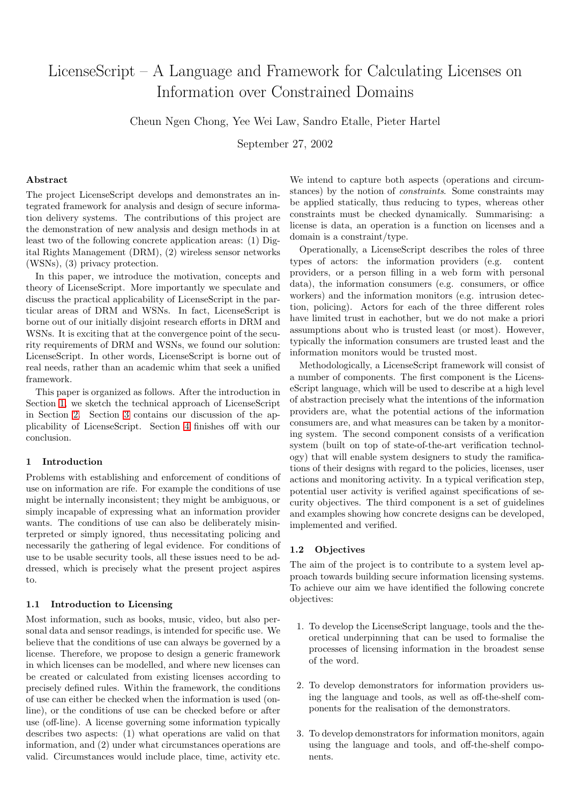# LicenseScript – A Language and Framework for Calculating Licenses on Information over Constrained Domains

Cheun Ngen Chong, Yee Wei Law, Sandro Etalle, Pieter Hartel

September 27, 2002

# Abstract

The project LicenseScript develops and demonstrates an integrated framework for analysis and design of secure information delivery systems. The contributions of this project are the demonstration of new analysis and design methods in at least two of the following concrete application areas: (1) Digital Rights Management (DRM), (2) wireless sensor networks (WSNs), (3) privacy protection.

In this paper, we introduce the motivation, concepts and theory of LicenseScript. More importantly we speculate and discuss the practical applicability of LicenseScript in the particular areas of DRM and WSNs. In fact, LicenseScript is borne out of our initially disjoint research efforts in DRM and WSNs. It is exciting that at the convergence point of the security requirements of DRM and WSNs, we found our solution: LicenseScript. In other words, LicenseScript is borne out of real needs, rather than an academic whim that seek a unified framework.

This paper is organized as follows. After the introduction in Section 1, we sketch the technical approach of LicenseScript in Section 2. Section 3 contains our discussion of the applicability of LicenseScript. Section 4 finishes off with our conclusion.

# 1 Intro[duc](#page-1-0)tion

Problems with establishing and enfor[ce](#page-3-0)ment of conditions of use on information are rife. For example the conditions of use might be internally inconsistent; they might be ambiguous, or simply incapable of expressing what an information provider wants. The conditions of use can also be deliberately misinterpreted or simply ignored, thus necessitating policing and necessarily the gathering of legal evidence. For conditions of use to be usable security tools, all these issues need to be addressed, which is precisely what the present project aspires to.

# 1.1 Introduction to Licensing

Most information, such as books, music, video, but also personal data and sensor readings, is intended for specific use. We believe that the conditions of use can always be governed by a license. Therefore, we propose to design a generic framework in which licenses can be modelled, and where new licenses can be created or calculated from existing licenses according to precisely defined rules. Within the framework, the conditions of use can either be checked when the information is used (online), or the conditions of use can be checked before or after use (off-line). A license governing some information typically describes two aspects: (1) what operations are valid on that information, and (2) under what circumstances operations are valid. Circumstances would include place, time, activity etc.

We intend to capture both aspects (operations and circumstances) by the notion of constraints. Some constraints may be applied statically, thus reducing to types, whereas other constraints must be checked dynamically. Summarising: a license is data, an operation is a function on licenses and a domain is a constraint/type.

Operationally, a LicenseScript describes the roles of three types of actors: the information providers (e.g. content providers, or a person filling in a web form with personal data), the information consumers (e.g. consumers, or office workers) and the information monitors (e.g. intrusion detection, policing). Actors for each of the three different roles have limited trust in eachother, but we do not make a priori assumptions about who is trusted least (or most). However, typically the information consumers are trusted least and the information monitors would be trusted most.

Methodologically, a LicenseScript framework will consist of a number of components. The first component is the LicenseScript language, which will be used to describe at a high level of abstraction precisely what the intentions of the information providers are, what the potential actions of the information consumers are, and what measures can be taken by a monitoring system. The second component consists of a verification system (built on top of state-of-the-art verification technology) that will enable system designers to study the ramifications of their designs with regard to the policies, licenses, user actions and monitoring activity. In a typical verification step, potential user activity is verified against specifications of security objectives. The third component is a set of guidelines and examples showing how concrete designs can be developed, implemented and verified.

# 1.2 Objectives

The aim of the project is to contribute to a system level approach towards building secure information licensing systems. To achieve our aim we have identified the following concrete objectives:

- 1. To develop the LicenseScript language, tools and the theoretical underpinning that can be used to formalise the processes of licensing information in the broadest sense of the word.
- 2. To develop demonstrators for information providers using the language and tools, as well as off-the-shelf components for the realisation of the demonstrators.
- 3. To develop demonstrators for information monitors, again using the language and tools, and off-the-shelf components.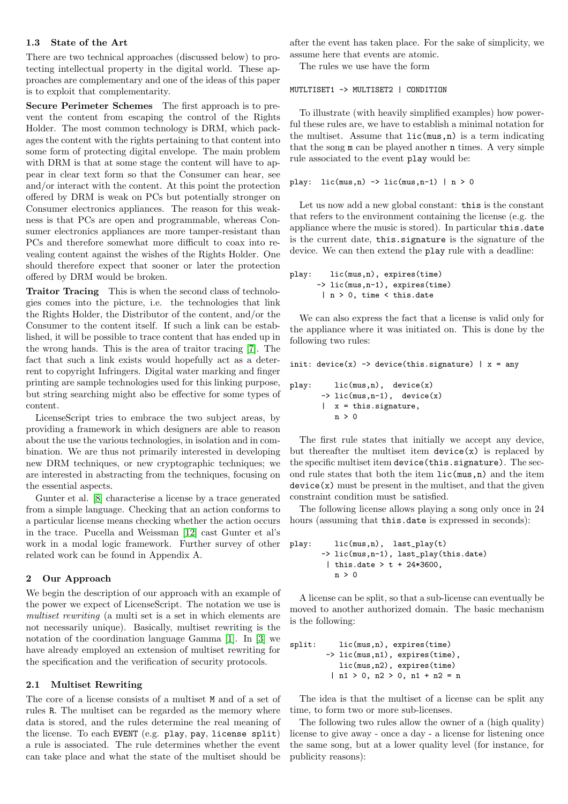<span id="page-1-0"></span>There are two technical approaches (discussed below) to protecting intellectual property in the digital world. These approaches are complementary and one of the ideas of this paper is to exploit that complementarity.

Secure Perimeter Schemes The first approach is to prevent the content from escaping the control of the Rights Holder. The most common technology is DRM, which packages the content with the rights pertaining to that content into some form of protecting digital envelope. The main problem with DRM is that at some stage the content will have to appear in clear text form so that the Consumer can hear, see and/or interact with the content. At this point the protection offered by DRM is weak on PCs but potentially stronger on Consumer electronics appliances. The reason for this weakness is that PCs are open and programmable, whereas Consumer electronics appliances are more tamper-resistant than PCs and therefore somewhat more difficult to coax into revealing content against the wishes of the Rights Holder. One should therefore expect that sooner or later the protection offered by DRM would be broken.

Traitor Tracing This is when the second class of technologies comes into the picture, i.e. the technologies that link the Rights Holder, the Distributor of the content, and/or the Consumer to the content itself. If such a link can be established, it will be possible to trace content that has ended up in the wrong hands. This is the area of traitor tracing [7]. The fact that such a link exists would hopefully act as a deterrent to copyright Infringers. Digital water marking and finger printing are sample technologies used for this linking purpose, but string searching might also be effective for some [ty](#page-4-0)pes of content.

LicenseScript tries to embrace the two subject areas, by providing a framework in which designers are able to reason about the use the various technologies, in isolation and in combination. We are thus not primarily interested in developing new DRM techniques, or new cryptographic techniques; we are interested in abstracting from the techniques, focusing on the essential aspects.

Gunter et al. [8] characterise a license by a trace generated from a simple language. Checking that an action conforms to a particular license means checking whether the action occurs in the trace. Pucella and Weissman [12] cast Gunter et al's work in a mod[al](#page-4-0) logic framework. Further survey of other related work can be found in Appendix A.

#### 2 Our Approach

We begin the description of our approach with an example of the power we expect of LicenseScript. The notation we use is multiset rewriting (a multi set is a set in which elements are not necessarily unique). Basically, multiset rewriting is the notation of the coordination language Gamma [1]. In [3] we have already employed an extension of multiset rewriting for the specification and the verification of security protocols.

#### 2.1 Multiset Rewriting

The core of a license consists of a multiset M and of a set of rules R. The multiset can be regarded as the memory where data is stored, and the rules determine the real meaning of the license. To each EVENT (e.g. play, pay, license split) a rule is associated. The rule determines whether the event can take place and what the state of the multiset should be

assume here that events are atomic. The rules we use have the form

#### MUTLTISET1 -> MULTISET2 | CONDITION

To illustrate (with heavily simplified examples) how powerful these rules are, we have to establish a minimal notation for the multiset. Assume that  $lic(max, n)$  is a term indicating that the song m can be played another n times. A very simple rule associated to the event play would be:

play:  $lic(mus, n) \rightarrow lic(mus, n-1) | n > 0$ 

Let us now add a new global constant: this is the constant that refers to the environment containing the license (e.g. the appliance where the music is stored). In particular this.date is the current date, this.signature is the signature of the device. We can then extend the play rule with a deadline:

```
play: lic(mus,n), expires(time)
      -> lic(mus,n-1), expires(time)
       | n > 0, time < this.date
```
We can also express the fact that a license is valid only for the appliance where it was initiated on. This is done by the following two rules:

```
init: device(x) \rightarrow device(this.sizeg nature) | x = any
```

```
play: lic(mus,n), device(x)
        \rightarrow lic(mus, n-1), device(x)
        \vert x = this. signature,
           n > 0
```
The first rule states that initially we accept any device, but thereafter the multiset item  $device(x)$  is replaced by the specific multiset item device(this.signature). The second rule states that both the item lic(mus,n) and the item  $device(x)$  must be present in the multiset, and that the given constraint condition must be satisfied.

The following license allows playing a song only once in 24 hours (assuming that this.date is expressed in seconds):

```
play: lic(mus,n), last_play(t)
       -> lic(mus,n-1), last_play(this.date)
        | this.date > t + 24*3600,
         n > 0
```
A license can be split, so that a sub-license can eventually be moved to another authorized domain. The basic mechanism is the following:

```
split: lic(mus,n), expires(time)
       -> lic(mus,n1), expires(time),
          lic(mus,n2), expires(time)
        | n1 > 0, n2 > 0, n1 + n2 = n
```
The idea is that the multiset of a license can be split any time, to form two or more sub-licenses.

The following two rules allow the owner of a (high quality) license to give away - once a day - a license for listening once the same song, but at a lower quality level (for instance, for publicity reasons):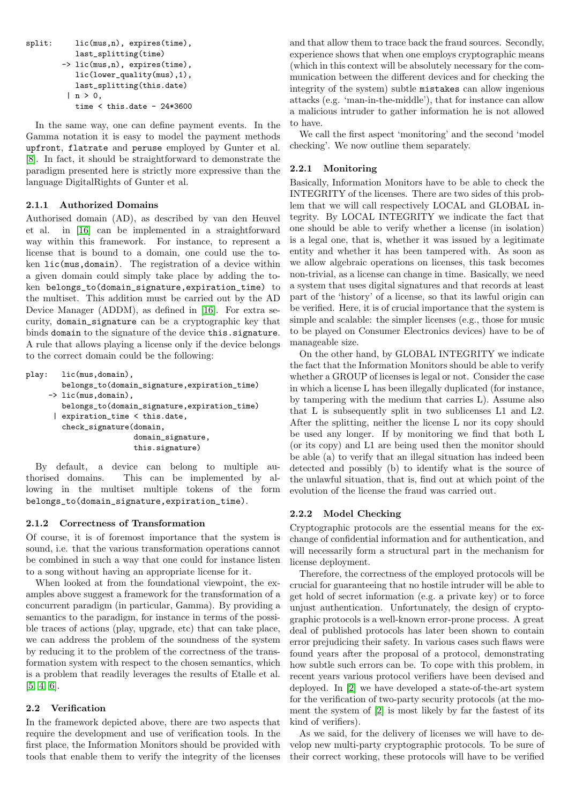```
last_splitting(time)
-> lic(mus,n), expires(time),
   lic(lower_quality(mus),1),
   last_splitting(this.date)
 | n > 0,time \times this.date - 24*3600
```
In the same way, one can define payment events. In the Gamma notation it is easy to model the payment methods upfront, flatrate and peruse employed by Gunter et al. [8]. In fact, it should be straightforward to demonstrate the paradigm presented here is strictly more expressive than the language DigitalRights of Gunter et al.

# [2.](#page-4-0)1.1 Authorized Domains

Authorised domain (AD), as described by van den Heuvel et al. in [16] can be implemented in a straightforward way within this framework. For instance, to represent a license that is bound to a domain, one could use the token lic(mus,domain). The registration of a device within a given do[main](#page-4-0) could simply take place by adding the token belongs\_to(domain\_signature,expiration\_time) to the multiset. This addition must be carried out by the AD Device Manager (ADDM), as defined in [16]. For extra security, domain\_signature can be a cryptographic key that binds domain to the signature of the device this.signature. A rule that allows playing a license only if the device belongs to the correct domain could be the followi[ng:](#page-4-0)

```
play: lic(mus,domain),
        belongs_to(domain_signature,expiration_time)
     -> lic(mus,domain),
        belongs_to(domain_signature,expiration_time)
      | expiration_time < this.date,
        check_signature(domain,
                        domain_signature,
                        this.signature)
```
By default, a device can belong to multiple authorised domains. This can be implemented by allowing in the multiset multiple tokens of the form belongs\_to(domain\_signature,expiration\_time).

# 2.1.2 Correctness of Transformation

Of course, it is of foremost importance that the system is sound, i.e. that the various transformation operations cannot be combined in such a way that one could for instance listen to a song without having an appropriate license for it.

When looked at from the foundational viewpoint, the examples above suggest a framework for the transformation of a concurrent paradigm (in particular, Gamma). By providing a semantics to the paradigm, for instance in terms of the possible traces of actions (play, upgrade, etc) that can take place, we can address the problem of the soundness of the system by reducing it to the problem of the correctness of the transformation system with respect to the chosen semantics, which is a problem that readily leverages the results of Etalle et al. [5, 4, 6].

# 2.2 Verification

In the framework depicted above, there are two aspects that [require](#page-4-0) the development and use of verification tools. In the first place, the Information Monitors should be provided with tools that enable them to verify the integrity of the licenses experience shows that when one employs cryptographic means (which in this context will be absolutely necessary for the communication between the different devices and for checking the integrity of the system) subtle mistakes can allow ingenious attacks (e.g. 'man-in-the-middle'), that for instance can allow a malicious intruder to gather information he is not allowed to have.

We call the first aspect 'monitoring' and the second 'model checking'. We now outline them separately.

# 2.2.1 Monitoring

Basically, Information Monitors have to be able to check the INTEGRITY of the licenses. There are two sides of this problem that we will call respectively LOCAL and GLOBAL integrity. By LOCAL INTEGRITY we indicate the fact that one should be able to verify whether a license (in isolation) is a legal one, that is, whether it was issued by a legitimate entity and whether it has been tampered with. As soon as we allow algebraic operations on licenses, this task becomes non-trivial, as a license can change in time. Basically, we need a system that uses digital signatures and that records at least part of the 'history' of a license, so that its lawful origin can be verified. Here, it is of crucial importance that the system is simple and scalable: the simpler licenses (e.g., those for music to be played on Consumer Electronics devices) have to be of manageable size.

On the other hand, by GLOBAL INTEGRITY we indicate the fact that the Information Monitors should be able to verify whether a GROUP of licenses is legal or not. Consider the case in which a license L has been illegally duplicated (for instance, by tampering with the medium that carries L). Assume also that L is subsequently split in two sublicenses L1 and L2. After the splitting, neither the license L nor its copy should be used any longer. If by monitoring we find that both L (or its copy) and L1 are being used then the monitor should be able (a) to verify that an illegal situation has indeed been detected and possibly (b) to identify what is the source of the unlawful situation, that is, find out at which point of the evolution of the license the fraud was carried out.

### 2.2.2 Model Checking

Cryptographic protocols are the essential means for the exchange of confidential information and for authentication, and will necessarily form a structural part in the mechanism for license deployment.

Therefore, the correctness of the employed protocols will be crucial for guaranteeing that no hostile intruder will be able to get hold of secret information (e.g. a private key) or to force unjust authentication. Unfortunately, the design of cryptographic protocols is a well-known error-prone process. A great deal of published protocols has later been shown to contain error prejudicing their safety. In various cases such flaws were found years after the proposal of a protocol, demonstrating how subtle such errors can be. To cope with this problem, in recent years various protocol verifiers have been devised and deployed. In [2] we have developed a state-of-the-art system for the verification of two-party security protocols (at the moment the system of [2] is most likely by far the fastest of its kind of verifiers).

As we said, [fo](#page-4-0)r the delivery of licenses we will have to develop new multi-party cryptographic protocols. To be sure of their correct workin[g,](#page-4-0) these protocols will have to be verified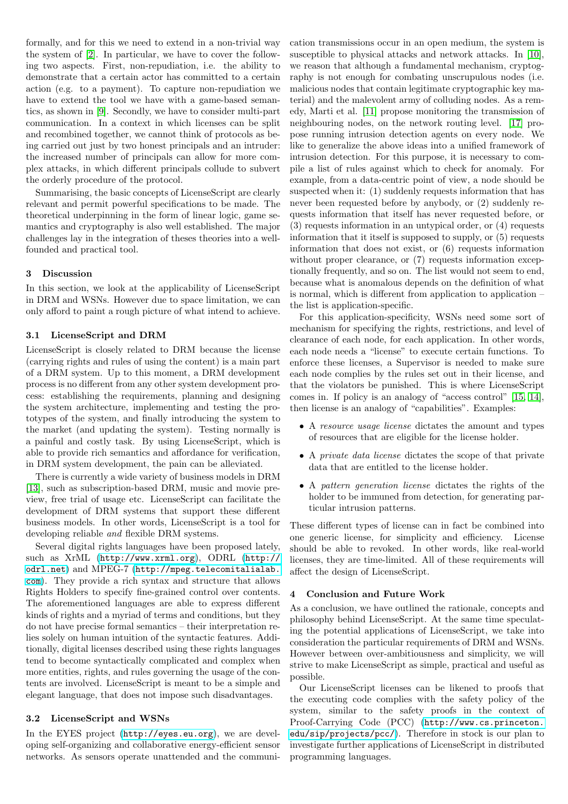<span id="page-3-0"></span>the system of [2]. In particular, we have to cover the following two aspects. First, non-repudiation, i.e. the ability to demonstrate that a certain actor has committed to a certain action (e.g. to a payment). To capture non-repudiation we have to exten[d t](#page-4-0)he tool we have with a game-based semantics, as shown in [9]. Secondly, we have to consider multi-part communication. In a context in which licenses can be split and recombined together, we cannot think of protocols as being carried out just by two honest principals and an intruder: the increased nu[mb](#page-4-0)er of principals can allow for more complex attacks, in which different principals collude to subvert the orderly procedure of the protocol.

Summarising, the basic concepts of LicenseScript are clearly relevant and permit powerful specifications to be made. The theoretical underpinning in the form of linear logic, game semantics and cryptography is also well established. The major challenges lay in the integration of theses theories into a wellfounded and practical tool.

## 3 Discussion

In this section, we look at the applicability of LicenseScript in DRM and WSNs. However due to space limitation, we can only afford to paint a rough picture of what intend to achieve.

# 3.1 LicenseScript and DRM

LicenseScript is closely related to DRM because the license (carrying rights and rules of using the content) is a main part of a DRM system. Up to this moment, a DRM development process is no different from any other system development process: establishing the requirements, planning and designing the system architecture, implementing and testing the prototypes of the system, and finally introducing the system to the market (and updating the system). Testing normally is a painful and costly task. By using LicenseScript, which is able to provide rich semantics and affordance for verification, in DRM system development, the pain can be alleviated.

There is currently a wide variety of business models in DRM [13], such as subscription-based DRM, music and movie preview, free trial of usage etc. LicenseScript can facilitate the development of DRM systems that support these different business models. In other words, LicenseScript is a tool for [dev](#page-4-0)eloping reliable and flexible DRM systems.

Several digital rights languages have been proposed lately, such as XrML (http://www.xrml.org), ODRL (http:// odrl.net) and MPEG-7 (http://mpeg.telecomitalialab. com). They provide a rich syntax and structure that allows Rights Holders to specify fine-grained control over contents. The aforementio[ned languages are able](http://www.xrml.org) to express [different](http://odrl.net) [kinds of ri](http://odrl.net)ghts and a myri[ad of terms and conditions, but they](http://mpeg.telecomitalialab.com) [do n](http://mpeg.telecomitalialab.com)ot have precise formal semantics – their interpretation relies solely on human intuition of the syntactic features. Additionally, digital licenses described using these rights languages tend to become syntactically complicated and complex when more entities, rights, and rules governing the usage of the contents are involved. LicenseScript is meant to be a simple and elegant language, that does not impose such disadvantages.

## 3.2 LicenseScript and WSNs

In the EYES project (http://eyes.eu.org), we are developing self-organizing and collaborative energy-efficient sensor networks. As sensors operate unattended and the communisusceptible to physical attacks and network attacks. In [10], we reason that although a fundamental mechanism, cryptography is not enough for combating unscrupulous nodes (i.e. malicious nodes that contain legitimate cryptographic key material) and the malevolent army of colluding nodes. As a r[em](#page-4-0)edy, Marti et al. [11] propose monitoring the transmission of neighbouring nodes, on the network routing level. [17] propose running intrusion detection agents on every node. We like to generalize the above ideas into a unified framework of intrusion detectio[n.](#page-4-0) For this purpose, it is necessary to compile a list of rules against which to check for anom[aly.](#page-4-0) For example, from a data-centric point of view, a node should be suspected when it: (1) suddenly requests information that has never been requested before by anybody, or (2) suddenly requests information that itself has never requested before, or (3) requests information in an untypical order, or (4) requests information that it itself is supposed to supply, or (5) requests information that does not exist, or (6) requests information without proper clearance, or  $(7)$  requests information exceptionally frequently, and so on. The list would not seem to end, because what is anomalous depends on the definition of what is normal, which is different from application to application – the list is application-specific.

For this application-specificity, WSNs need some sort of mechanism for specifying the rights, restrictions, and level of clearance of each node, for each application. In other words, each node needs a "license" to execute certain functions. To enforce these licenses, a Supervisor is needed to make sure each node complies by the rules set out in their license, and that the violators be punished. This is where LicenseScript comes in. If policy is an analogy of "access control" [15, 14], then license is an analogy of "capabilities". Examples:

- A resource usage license dictates the amount and types of resources that are eligible for the license holde[r.](#page-4-0)
- A private data license dictates the scope of that private data that are entitled to the license holder.
- A pattern generation license dictates the rights of the holder to be immuned from detection, for generating particular intrusion patterns.

These different types of license can in fact be combined into one generic license, for simplicity and efficiency. License should be able to revoked. In other words, like real-world licenses, they are time-limited. All of these requirements will affect the design of LicenseScript.

#### 4 Conclusion and Future Work

As a conclusion, we have outlined the rationale, concepts and philosophy behind LicenseScript. At the same time speculating the potential applications of LicenseScript, we take into consideration the particular requirements of DRM and WSNs. However between over-ambitiousness and simplicity, we will strive to make LicenseScript as simple, practical and useful as possible.

Our LicenseScript licenses can be likened to proofs that the executing code complies with the safety policy of the system, similar to the safety proofs in the context of Proof-Carrying Code (PCC) (http://www.cs.princeton. edu/sip/projects/pcc/). Therefore in stock is our plan to investigate further applications of LicenseScript in distributed programming languages.